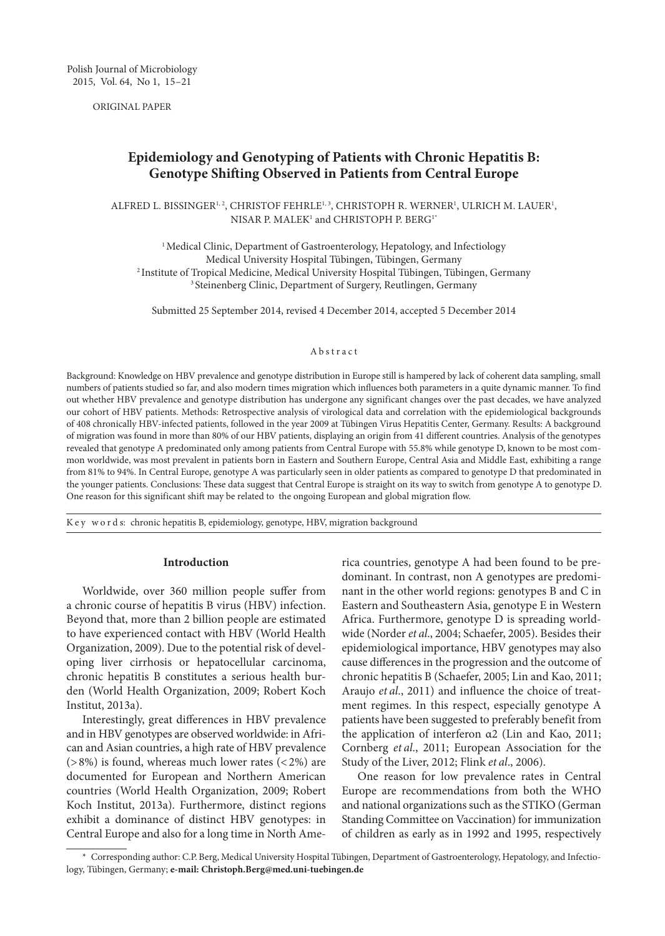ORIGINAL PAPER

# **Epidemiology and Genotyping of Patients with Chronic Hepatitis B: Genotype Shifting Observed in Patients from Central Europe**

 $ALFRED L. BISSINGER<sup>1,2</sup>, CHRISTOF FEHRLE<sup>1,3</sup>, CHRISTOPH R. WERNER<sup>1</sup>, ULRICH M. LAUER<sup>1</sup>,$ NISAR P. MALEK<sup>1</sup> and CHRISTOPH P. BERG<sup>1\*</sup>

<sup>1</sup> Medical Clinic, Department of Gastroenterology, Hepatology, and Infectiology<br>Medical University Hospital Tübingen, Tübingen, Germany <sup>2</sup> Institute of Tropical Medicine, Medical University Hospital Tübingen, Tübingen, Germany <sup>3</sup> Steinenberg Clinic, Department of Surgery, Reutlingen, Germany

Submitted 25 September 2014, revised 4 December 2014, accepted 5 December 2014

#### Abstract

Background: Knowledge on HBV prevalence and genotype distribution in Europe still is hampered by lack of coherent data sampling, small numbers of patients studied so far, and also modern times migration which influences both parameters in a quite dynamic manner. To find out whether HBV prevalence and genotype distribution has undergone any significant changes over the past decades, we have analyzed our cohort of HBV patients. Methods: Retrospective analysis of virological data and correlation with the epidemiological backgrounds of 408 chronically HBV-infected patients, followed in the year 2009 at Tübingen Virus Hepatitis Center, Germany. Results: A background of migration was found in more than 80% of our HBV patients, displaying an origin from 41 different countries. Analysis of the genotypes revealed that genotype A predominated only among patients from Central Europe with 55.8% while genotype D, known to be most common worldwide, was most prevalent in patients born in Eastern and Southern Europe, Central Asia and Middle East, exhibiting a range from 81% to 94%. In Central Europe, genotype A was particularly seen in older patients as compared to genotype D that predominated in the younger patients. Conclusions: These data suggest that Central Europe is straight on its way to switch from genotype A to genotype D. One reason for this significant shift may be related to the ongoing European and global migration flow.

K e y w o r d s: chronic hepatitis B, epidemiology, genotype, HBV, migration background

## **Introduction**

Worldwide, over 360 million people suffer from a chronic course of hepatitis B virus (HBV) infection. Beyond that, more than 2 billion people are estimated to have experienced contact with HBV (World Health Organization, 2009). Due to the potential risk of developing liver cirrhosis or hepatocellular carcinoma, chronic hepatitis B constitutes a serious health burden (World Health Organization, 2009; Robert Koch Institut, 2013a).

Interestingly, great differences in HBV prevalence and in HBV genotypes are observed worldwide: in African and Asian countries, a high rate of HBV prevalence  $($ >8%) is found, whereas much lower rates  $($  < 2%) are documented for European and Northern American countries (World Health Organization, 2009; Robert Koch Institut, 2013a). Furthermore, distinct regions exhibit a dominance of distinct HBV genotypes: in Central Europe and also for a long time in North America countries, genotype A had been found to be predominant. In contrast, non A genotypes are predominant in the other world regions: genotypes B and C in Eastern and Southeastern Asia, genotype E in Western Africa. Furthermore, genotype D is spreading worldwide (Norder *et al*., 2004; Schaefer, 2005). Besides their epidemiological importance, HBV genotypes may also cause differences in the progression and the outcome of chronic hepatitis B (Schaefer, 2005; Lin and Kao, 2011; Araujo *et al*., 2011) and influence the choice of treatment regimes. In this respect, especially genotype A patients have been suggested to preferably benefit from the application of interferon α2 (Lin and Kao, 2011; Cornberg *et al*., 2011; European Association for the Study of the Liver, 2012; Flink *et al*., 2006).

One reason for low prevalence rates in Central Europe are recommendations from both the WHO and national organizations such as the STIKO (German Standing Committee on Vaccination) for immunization of children as early as in 1992 and 1995, respectively

<sup>\*</sup> Corresponding author: C.P. Berg, Medical University Hospital Tübingen, Department of Gastroenterology, Hepatology, and Infectiology, Tübingen, Germany; **e-mail: Christoph.Berg@med.uni-tuebingen.de**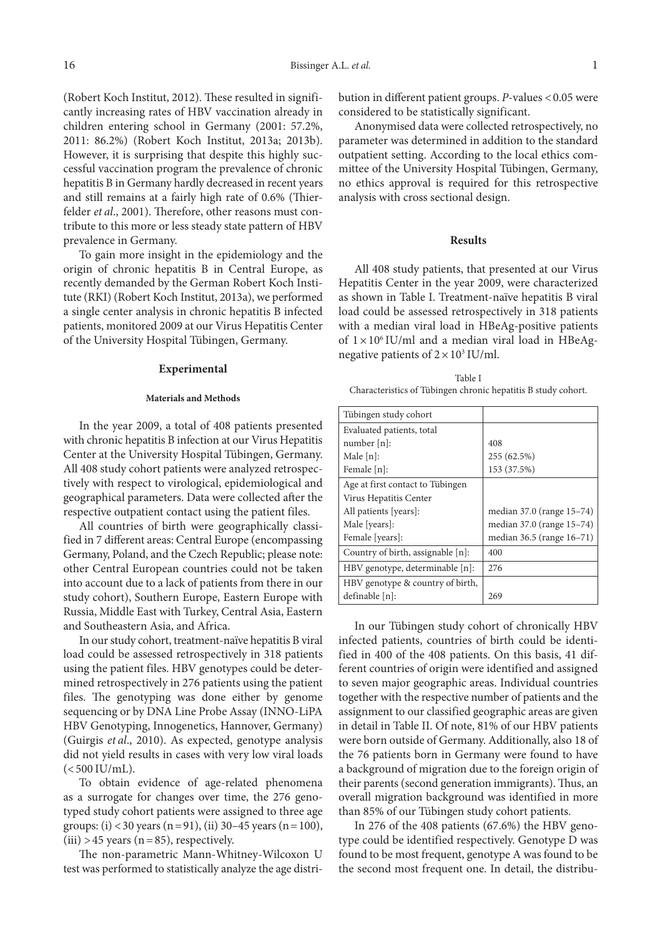(Robert Koch Institut, 2012). These resulted in significantly increasing rates of HBV vaccination already in children entering school in Germany (2001: 57.2%, 2011: 86.2%) (Robert Koch Institut, 2013a; 2013b). However, it is surprising that despite this highly successful vaccination program the prevalence of chronic hepatitis B in Germany hardly decreased in recent years and still remains at a fairly high rate of 0.6% (Thierfelder *et al*., 2001). Therefore, other reasons must contribute to this more or less steady state pattern of HBV prevalence in Germany.

To gain more insight in the epidemiology and the origin of chronic hepatitis B in Central Europe, as recently demanded by the German Robert Koch Institute (RKI) (Robert Koch Institut, 2013a), we performed a single center analysis in chronic hepatitis B infected patients, monitored 2009 at our Virus Hepatitis Center of the University Hospital Tübingen, Germany.

#### **Experimental**

#### **Materials and Methods**

In the year 2009, a total of 408 patients presented with chronic hepatitis B infection at our Virus Hepatitis Center at the University Hospital Tübingen, Germany. All 408 study cohort patients were analyzed retrospectively with respect to virological, epidemiological and geographical parameters. Data were collected after the respective outpatient contact using the patient files.

All countries of birth were geographically classified in 7 different areas: Central Europe (encompassing Germany, Poland, and the Czech Republic; please note: other Central European countries could not be taken into account due to a lack of patients from there in our study cohort), Southern Europe, Eastern Europe with Russia, Middle East with Turkey, Central Asia, Eastern and Southeastern Asia, and Africa.

In our study cohort, treatment-naïve hepatitis B viral load could be assessed retrospectively in 318 patients using the patient files. HBV genotypes could be determined retrospectively in 276 patients using the patient files. The genotyping was done either by genome sequencing or by DNA Line Probe Assay (INNO-LiPA HBV Genotyping, Innogenetics, Hannover, Germany) (Guirgis *et al*., 2010). As expected, genotype analysis did not yield results in cases with very low viral loads  $(<500$  IU/mL).

To obtain evidence of age-related phenomena as a surrogate for changes over time, the 276 genotyped study cohort patients were assigned to three age groups: (i) <30 years (n=91), (ii) 30–45 years (n=100),  $(iii) > 45$  years  $(n=85)$ , respectively.

The non-parametric Mann-Whitney-Wilcoxon U test was performed to statistically analyze the age distribution in different patient groups. *P*-values <0.05 were considered to be statistically significant.

Anonymised data were collected retrospectively, no parameter was determined in addition to the standard outpatient setting. According to the local ethics committee of the University Hospital Tübingen, Germany, no ethics approval is required for this retrospective analysis with cross sectional design.

## **Results**

All 408 study patients, that presented at our Virus Hepatitis Center in the year 2009, were characterized as shown in Table I. Treatment-naïve hepatitis B viral load could be assessed retrospectively in 318 patients with a median viral load in HBeAg-positive patients of  $1 \times 10^6$  IU/ml and a median viral load in HBeAgnegative patients of  $2 \times 10^3$  IU/ml.

| Table I                                                       |
|---------------------------------------------------------------|
| Characteristics of Tübingen chronic hepatitis B study cohort. |

| Tübingen study cohort             |                           |
|-----------------------------------|---------------------------|
| Evaluated patients, total         |                           |
| number $[n]$ :                    | 408                       |
| Male $[n]$ :                      | 255 (62.5%)               |
| Female [n]:                       | 153 (37.5%)               |
| Age at first contact to Tübingen  |                           |
| Virus Hepatitis Center            |                           |
| All patients [years]:             | median 37.0 (range 15–74) |
| Male [years]:                     | median 37.0 (range 15–74) |
| Female [years]:                   | median 36.5 (range 16-71) |
| Country of birth, assignable [n]: | 400                       |
| HBV genotype, determinable [n]:   | 276                       |
| HBV genotype & country of birth,  |                           |
| definable [n]:                    | 269                       |

In our Tübingen study cohort of chronically HBV infected patients, countries of birth could be identified in 400 of the 408 patients. On this basis, 41 different countries of origin were identified and assigned to seven major geographic areas. Individual countries together with the respective number of patients and the assignment to our classified geographic areas are given in detail in Table II. Of note, 81% of our HBV patients were born outside of Germany. Additionally, also 18 of the 76 patients born in Germany were found to have a background of migration due to the foreign origin of their parents (second generation immigrants). Thus, an overall migration background was identified in more than 85% of our Tübingen study cohort patients.

In 276 of the 408 patients (67.6%) the HBV genotype could be identified respectively. Genotype D was found to be most frequent, genotype A was found to be the second most frequent one. In detail, the distribu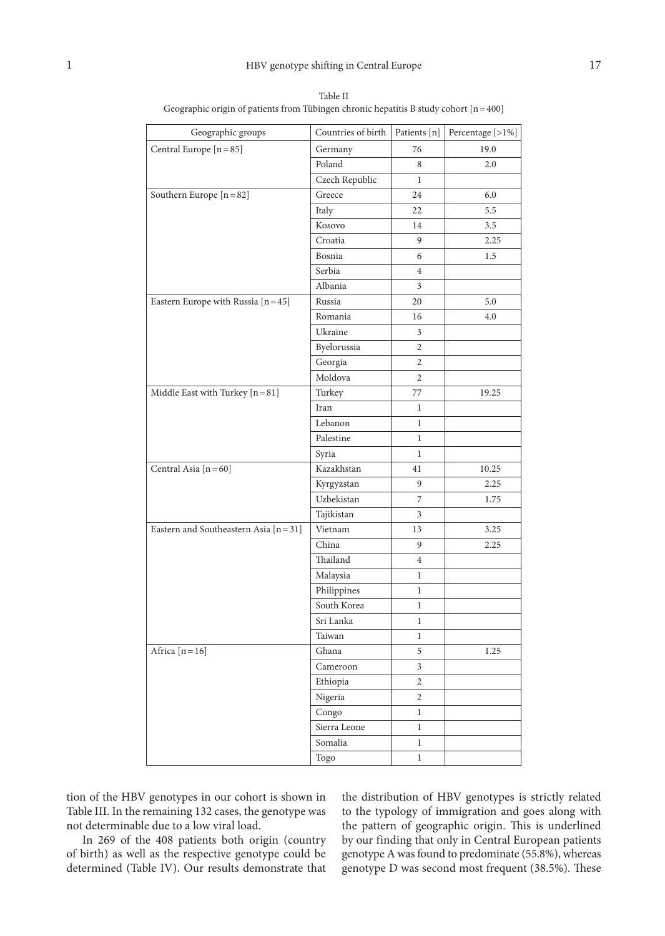| Geographic groups                      | Countries of birth | Patients [n]            | Percentage [>1%] |
|----------------------------------------|--------------------|-------------------------|------------------|
| Central Europe [n = 85]                | Germany            | 76                      | 19.0             |
|                                        | Poland             | 8                       | 2.0              |
|                                        | Czech Republic     | $\mathbf{1}$            |                  |
| Southern Europe [n = 82]               | Greece             | 24                      | 6.0              |
|                                        | Italy              | 22                      | 5.5              |
|                                        | Kosovo             | 14                      | 3.5              |
|                                        | Croatia            | 9                       | 2.25             |
|                                        | Bosnia             | 6                       | 1.5              |
|                                        | Serbia             | $\overline{4}$          |                  |
|                                        | Albania            | $\overline{3}$          |                  |
| Eastern Europe with Russia $[n=45]$    | Russia             | 20                      | 5.0              |
|                                        | Romania            | 16                      | 4.0              |
|                                        | Ukraine            | 3                       |                  |
|                                        | Byelorussia        | 2                       |                  |
|                                        | Georgia            | $\overline{2}$          |                  |
|                                        | Moldova            | $\overline{2}$          |                  |
| Middle East with Turkey $[n=81]$       | Turkey             | 77                      | 19.25            |
|                                        | Iran               | $\mathbf{1}$            |                  |
|                                        | Lebanon            | $\mathbf{1}$            |                  |
|                                        | Palestine          | $\mathbf{1}$            |                  |
|                                        | Syria              | $\mathbf{1}$            |                  |
| Central Asia [n = 60]                  | Kazakhstan         | 41                      | 10.25            |
|                                        | Kyrgyzstan         | 9                       | 2.25             |
|                                        | Uzbekistan         | 7                       | 1.75             |
|                                        | Tajikistan         | 3                       |                  |
| Eastern and Southeastern Asia $[n=31]$ | Vietnam            | 13                      | 3.25             |
|                                        | China              | 9                       | 2.25             |
|                                        | Thailand           | $\overline{4}$          |                  |
|                                        | Malaysia           | $\mathbf{1}$            |                  |
|                                        | Philippines        | 1                       |                  |
|                                        | South Korea        | 1                       |                  |
|                                        | Sri Lanka          | 1                       |                  |
|                                        | Taiwan             | $\mathbf{1}$            |                  |
| Africa $[n=16]$                        | Ghana              | 5                       | 1.25             |
|                                        | Cameroon           | $\overline{\mathbf{3}}$ |                  |
|                                        | Ethiopia           | $\overline{c}$          |                  |
|                                        | Nigeria            | $\overline{2}$          |                  |
|                                        | Congo              | $\mathbf{1}$            |                  |
|                                        | Sierra Leone       | $\,1$                   |                  |
|                                        | Somalia            | $\,1$                   |                  |
|                                        | Togo               | $\mathbf{1}$            |                  |

Table II Geographic origin of patients from Tübingen chronic hepatitis B study cohort [n=400]

tion of the HBV genotypes in our cohort is shown in Table III. In the remaining 132 cases, the genotype was not determinable due to a low viral load.

In 269 of the 408 patients both origin (country of birth) as well as the respective genotype could be determined (Table IV). Our results demonstrate that

the distribution of HBV genotypes is strictly related to the typology of immigration and goes along with the pattern of geographic origin. This is underlined by our finding that only in Central European patients genotype A was found to predominate (55.8%), whereas genotype D was second most frequent (38.5%). These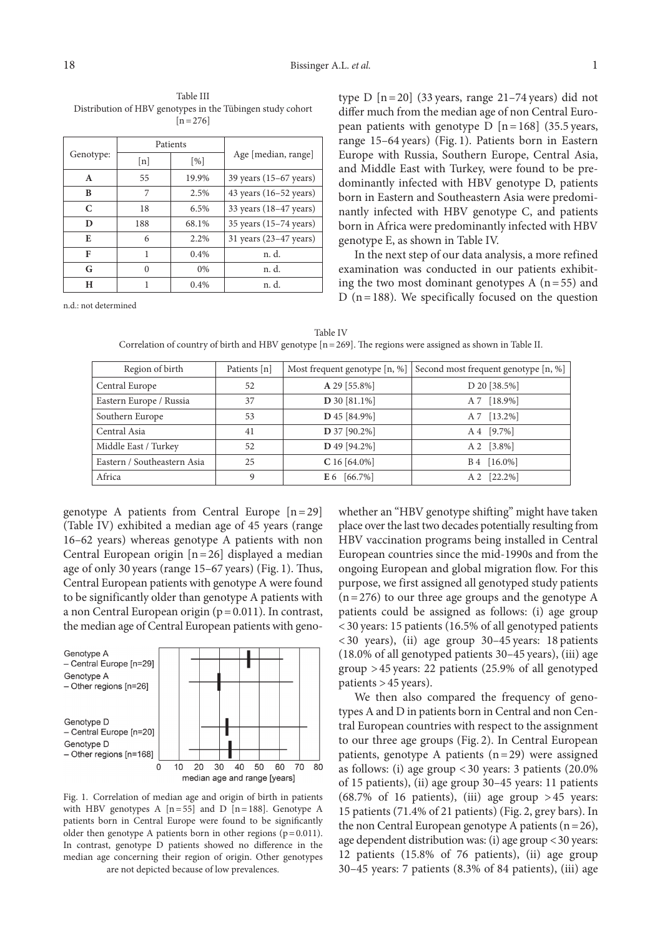Table III Distribution of HBV genotypes in the Tübingen study cohort  $[n=276]$ 

|           | Patients |                             |                                  |  |
|-----------|----------|-----------------------------|----------------------------------|--|
| Genotype: | [n]      | $\lceil \frac{9}{6} \rceil$ | Age [median, range]              |  |
| A         | 55       | 19.9%                       | 39 years (15–67 years)           |  |
| B         | 7        | 2.5%                        | 43 years $(16-52 \text{ years})$ |  |
| C         | 18       | 6.5%                        | 33 years $(18-47 \text{ years})$ |  |
| D         | 188      | 68.1%                       | 35 years (15-74 years)           |  |
| E         | 6        | 2.2%                        | 31 years (23-47 years)           |  |
| F         | 1        | $0.4\%$                     | n. d.                            |  |
| G         | 0        | $0\%$                       | n. d.                            |  |
| н         |          | 0.4%                        | n. d.                            |  |

n.d.: not determined

type  $D$  [n = 20] (33 years, range 21–74 years) did not differ much from the median age of non Central European patients with genotype  $D \left[ n = 168 \right]$  (35.5 years, range 15–64 years) (Fig. 1). Patients born in Eastern Europe with Russia, Southern Europe, Central Asia, and Middle East with Turkey, were found to be predominantly infected with HBV genotype D, patients born in Eastern and Southeastern Asia were predominantly infected with HBV genotype C, and patients born in Africa were predominantly infected with HBV genotype E, as shown in Table IV.

In the next step of our data analysis, a more refined examination was conducted in our patients exhibiting the two most dominant genotypes  $A(n=55)$  and D ( $n=188$ ). We specifically focused on the question

Table IV Correlation of country of birth and HBV genotype  $[n=269]$ . The regions were assigned as shown in Table II.

| Region of birth             | Patients [n] | Most frequent genotype [n, %] | Second most frequent genotype [n, %] |
|-----------------------------|--------------|-------------------------------|--------------------------------------|
| Central Europe              | 52           | A 29 [55.8%]                  | D 20 [38.5%]                         |
| Eastern Europe / Russia     | 37           | D 30 [81.1%]                  | A 7 [18.9%]                          |
| Southern Europe             | 53           | D 45 [84.9%]                  | A 7 [13.2%]                          |
| Central Asia                | 41           | D 37 [90.2%]                  | A 4 [9.7%]                           |
| Middle East / Turkey        | 52           | D 49 [94.2%]                  | A 2 [3.8%]                           |
| Eastern / Southeastern Asia | 25           | $C16[64.0\%]$                 | B 4 [16.0%]                          |
| Africa                      | 9            | $E 6 [66.7\%]$                | A 2 [22.2%]                          |

genotype A patients from Central Europe  $[n=29]$ (Table IV) exhibited a median age of 45 years (range 16–62 years) whereas genotype A patients with non Central European origin [n=26] displayed a median age of only 30 years (range 15–67 years) (Fig. 1). Thus, Central European patients with genotype A were found to be significantly older than genotype A patients with a non Central European origin (p=0.011). In contrast, the median age of Central European patients with geno-



Fig. 1. Correlation of median age and origin of birth in patients with HBV genotypes A  $[n=55]$  and D  $[n=188]$ . Genotype A patients born in Central Europe were found to be significantly older then genotype A patients born in other regions  $(p=0.011)$ . In contrast, genotype D patients showed no difference in the median age concerning their region of origin. Other genotypes are not depicted because of low prevalences.

whether an "HBV genotype shifting" might have taken place over the last two decades potentially resulting from HBV vaccination programs being installed in Central European countries since the mid-1990s and from the ongoing European and global migration flow. For this purpose, we first assigned all genotyped study patients  $(n=276)$  to our three age groups and the genotype A patients could be assigned as follows: (i) age group <30 years: 15 patients (16.5% of all genotyped patients <30 years), (ii) age group 30–45 years: 18 patients (18.0% of all genotyped patients 30–45 years), (iii) age group >45 years: 22 patients (25.9% of all genotyped patients >45 years).

We then also compared the frequency of genotypes A and D in patients born in Central and non Central European countries with respect to the assignment to our three age groups (Fig. 2). In Central European patients, genotype A patients  $(n=29)$  were assigned as follows: (i) age group <30 years: 3 patients (20.0% of 15 patients), (ii) age group 30–45 years: 11 patients (68.7% of 16 patients), (iii) age group  $>45$  years: 15 patients (71.4% of 21 patients) (Fig. 2, grey bars). In the non Central European genotype A patients  $(n=26)$ , age dependent distribution was: (i) age group <30 years: 12 patients (15.8% of 76 patients), (ii) age group 30–45 years: 7 patients (8.3% of 84 patients), (iii) age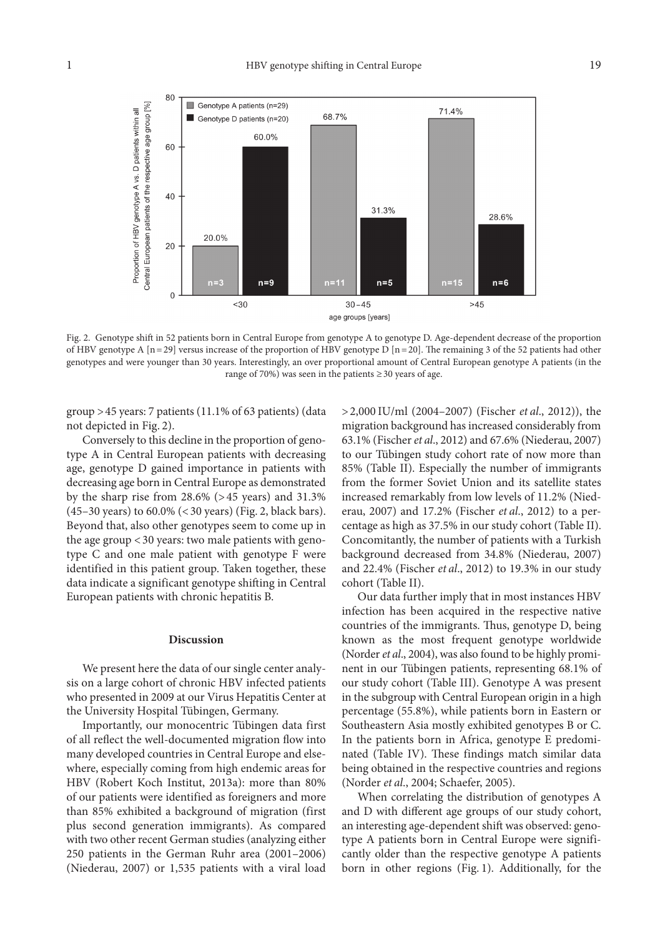

Fig. 2. Genotype shift in 52 patients born in Central Europe from genotype A to genotype D. Age-dependent decrease of the proportion of HBV genotype A  $[n=29]$  versus increase of the proportion of HBV genotype D  $[n=20]$ . The remaining 3 of the 52 patients had other genotypes and were younger than 30 years. Interestingly, an over proportional amount of Central European genotype A patients (in the range of 70%) was seen in the patients  $\geq$  30 years of age.

group >45 years: 7 patients (11.1% of 63 patients) (data not depicted in Fig. 2).

Conversely to this decline in the proportion of genotype A in Central European patients with decreasing age, genotype D gained importance in patients with decreasing age born in Central Europe as demonstrated by the sharp rise from 28.6% (>45 years) and 31.3% (45–30 years) to 60.0% (<30 years) (Fig. 2, black bars). Beyond that, also other genotypes seem to come up in the age group <30 years: two male patients with genotype C and one male patient with genotype F were identified in this patient group. Taken together, these data indicate a significant genotype shifting in Central European patients with chronic hepatitis B.

## **Discussion**

We present here the data of our single center analysis on a large cohort of chronic HBV infected patients who presented in 2009 at our Virus Hepatitis Center at the University Hospital Tübingen, Germany.

Importantly, our monocentric Tübingen data first of all reflect the well-documented migration flow into many developed countries in Central Europe and elsewhere, especially coming from high endemic areas for HBV (Robert Koch Institut, 2013a): more than 80% of our patients were identified as foreigners and more than 85% exhibited a background of migration (first plus second generation immigrants). As compared with two other recent German studies (analyzing either 250 patients in the German Ruhr area (2001–2006) (Niederau, 2007) or 1,535 patients with a viral load

>2,000 IU/ml (2004–2007) (Fischer *et al*., 2012)), the migration background has increased considerably from 63.1% (Fischer *et al*., 2012) and 67.6% (Niederau, 2007) to our Tübingen study cohort rate of now more than 85% (Table II). Especially the number of immigrants from the former Soviet Union and its satellite states increased remarkably from low levels of 11.2% (Niederau, 2007) and 17.2% (Fischer *et al*., 2012) to a percentage as high as 37.5% in our study cohort (Table II). Concomitantly, the number of patients with a Turkish background decreased from 34.8% (Niederau, 2007) and 22.4% (Fischer *et al*., 2012) to 19.3% in our study cohort (Table II).

Our data further imply that in most instances HBV infection has been acquired in the respective native countries of the immigrants. Thus, genotype D, being known as the most frequent genotype worldwide (Norder *et al*., 2004), was also found to be highly prominent in our Tübingen patients, representing 68.1% of our study cohort (Table III). Genotype A was present in the subgroup with Central European origin in a high percentage (55.8%), while patients born in Eastern or Southeastern Asia mostly exhibited genotypes B or C. In the patients born in Africa, genotype E predominated (Table IV). These findings match similar data being obtained in the respective countries and regions (Norder *et al*., 2004; Schaefer, 2005).

When correlating the distribution of genotypes A and D with different age groups of our study cohort, an interesting age-dependent shift was observed: genotype A patients born in Central Europe were significantly older than the respective genotype A patients born in other regions (Fig. 1). Additionally, for the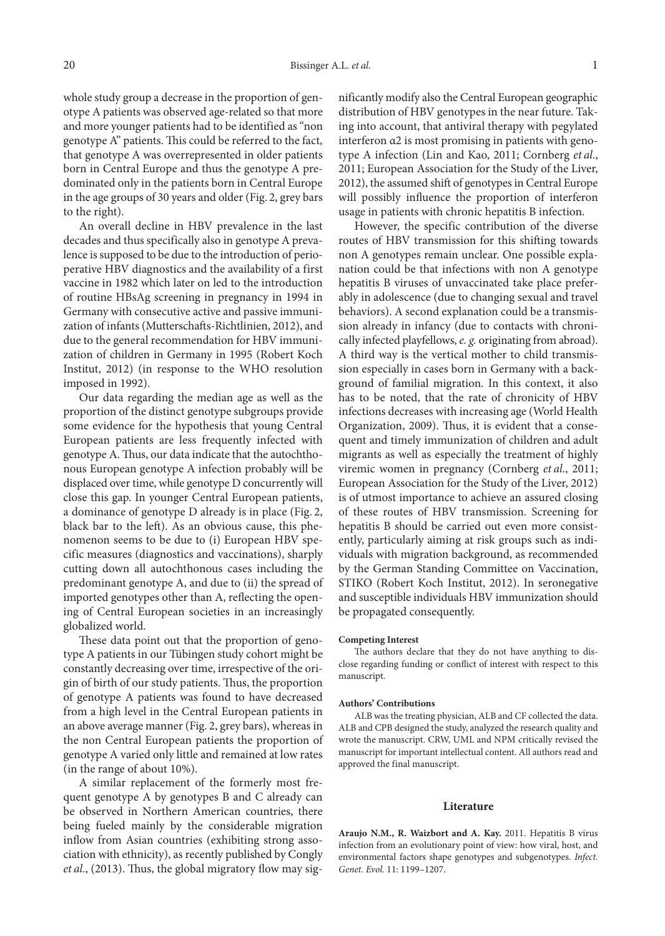whole study group a decrease in the proportion of genotype A patients was observed age-related so that more and more younger patients had to be identified as "non genotype A" patients. This could be referred to the fact, that genotype A was overrepresented in older patients born in Central Europe and thus the genotype A predominated only in the patients born in Central Europe in the age groups of 30 years and older (Fig. 2, grey bars to the right).

An overall decline in HBV prevalence in the last decades and thus specifically also in genotype A prevalence is supposed to be due to the introduction of perioperative HBV diagnostics and the availability of a first vaccine in 1982 which later on led to the introduction of routine HBsAg screening in pregnancy in 1994 in Germany with consecutive active and passive immunization of infants (Mutterschafts-Richtlinien, 2012), and due to the general recommendation for HBV immunization of children in Germany in 1995 (Robert Koch Institut, 2012) (in response to the WHO resolution imposed in 1992).

Our data regarding the median age as well as the proportion of the distinct genotype subgroups provide some evidence for the hypothesis that young Central European patients are less frequently infected with genotype A. Thus, our data indicate that the autochthonous European genotype A infection probably will be displaced over time, while genotype D concurrently will close this gap. In younger Central European patients, a dominance of genotype D already is in place (Fig. 2, black bar to the left). As an obvious cause, this phenomenon seems to be due to (i) European HBV specific measures (diagnostics and vaccinations), sharply cutting down all autochthonous cases including the predominant genotype A, and due to (ii) the spread of imported genotypes other than A, reflecting the opening of Central European societies in an increasingly globalized world.

These data point out that the proportion of genotype A patients in our Tübingen study cohort might be constantly decreasing over time, irrespective of the origin of birth of our study patients. Thus, the proportion of genotype A patients was found to have decreased from a high level in the Central European patients in an above average manner (Fig. 2, grey bars), whereas in the non Central European patients the proportion of genotype A varied only little and remained at low rates (in the range of about 10%).

A similar replacement of the formerly most frequent genotype A by genotypes B and C already can be observed in Northern American countries, there being fueled mainly by the considerable migration inflow from Asian countries (exhibiting strong association with ethnicity), as recently published by Congly *et al*., (2013). Thus, the global migratory flow may significantly modify also the Central European geographic distribution of HBV genotypes in the near future. Taking into account, that antiviral therapy with pegylated interferon α2 is most promising in patients with genotype A infection (Lin and Kao, 2011; Cornberg *et al*., 2011; European Association for the Study of the Liver, 2012), the assumed shift of genotypes in Central Europe will possibly influence the proportion of interferon usage in patients with chronic hepatitis B infection.

However, the specific contribution of the diverse routes of HBV transmission for this shifting towards non A genotypes remain unclear. One possible explanation could be that infections with non A genotype hepatitis B viruses of unvaccinated take place preferably in adolescence (due to changing sexual and travel behaviors). A second explanation could be a transmission already in infancy (due to contacts with chronically infected playfellows, *e. g.* originating from abroad). A third way is the vertical mother to child transmission especially in cases born in Germany with a background of familial migration. In this context, it also has to be noted, that the rate of chronicity of HBV infections decreases with increasing age (World Health Organization, 2009). Thus, it is evident that a consequent and timely immunization of children and adult migrants as well as especially the treatment of highly viremic women in pregnancy (Cornberg *et al*., 2011; European Association for the Study of the Liver, 2012) is of utmost importance to achieve an assured closing of these routes of HBV transmission. Screening for hepatitis B should be carried out even more consistently, particularly aiming at risk groups such as individuals with migration background, as recommended by the German Standing Committee on Vaccination, STIKO (Robert Koch Institut, 2012). In seronegative and susceptible individuals HBV immunization should be propagated consequently.

#### **Competing Interest**

The authors declare that they do not have anything to disclose regarding funding or conflict of interest with respect to this manuscript.

#### **Authors' Contributions**

ALB was the treating physician, ALB and CF collected the data. ALB and CPB designed the study, analyzed the research quality and wrote the manuscript. CRW, UML and NPM critically revised the manuscript for important intellectual content. All authors read and approved the final manuscript.

## **Literature**

**Araujo N.M., R. Waizbort and A. Kay.** 2011. Hepatitis B virus infection from an evolutionary point of view: how viral, host, and environmental factors shape genotypes and subgenotypes. *Infect. Genet. Evol.* 11: 1199–1207.